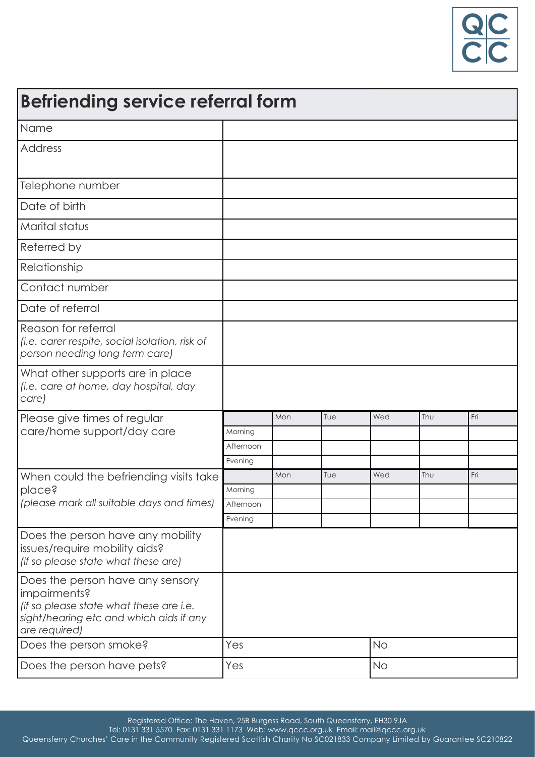

| <b>Befriending service referral form</b>                                                                                                                |           |     |     |           |     |     |  |
|---------------------------------------------------------------------------------------------------------------------------------------------------------|-----------|-----|-----|-----------|-----|-----|--|
| Name                                                                                                                                                    |           |     |     |           |     |     |  |
| Address                                                                                                                                                 |           |     |     |           |     |     |  |
| Telephone number                                                                                                                                        |           |     |     |           |     |     |  |
| Date of birth                                                                                                                                           |           |     |     |           |     |     |  |
| <b>Marital status</b>                                                                                                                                   |           |     |     |           |     |     |  |
| Referred by                                                                                                                                             |           |     |     |           |     |     |  |
| Relationship                                                                                                                                            |           |     |     |           |     |     |  |
| Contact number                                                                                                                                          |           |     |     |           |     |     |  |
| Date of referral                                                                                                                                        |           |     |     |           |     |     |  |
| Reason for referral<br>(i.e. carer respite, social isolation, risk of<br>person needing long term care)                                                 |           |     |     |           |     |     |  |
| What other supports are in place<br>(i.e. care at home, day hospital, day<br>care)                                                                      |           |     |     |           |     |     |  |
| Please give times of regular                                                                                                                            |           | Mon | Tue | Wed       | Thu | Fri |  |
| care/home support/day care                                                                                                                              | Morning   |     |     |           |     |     |  |
|                                                                                                                                                         | Afternoon |     |     |           |     |     |  |
|                                                                                                                                                         | Evening   | Mon | Tue | Wed       | Thu | Fri |  |
| When could the befriending visits take<br>place?<br>(please mark all suitable days and times)                                                           | Morning   |     |     |           |     |     |  |
|                                                                                                                                                         | Afternoon |     |     |           |     |     |  |
|                                                                                                                                                         | Evening   |     |     |           |     |     |  |
| Does the person have any mobility<br>issues/require mobility aids?<br>(if so please state what these are)                                               |           |     |     |           |     |     |  |
| Does the person have any sensory<br>impairments?<br>(if so please state what these are i.e.<br>sight/hearing etc and which aids if any<br>are required) |           |     |     |           |     |     |  |
| Does the person smoke?                                                                                                                                  | Yes       |     |     | <b>No</b> |     |     |  |
| Does the person have pets?                                                                                                                              | Yes       |     |     | <b>No</b> |     |     |  |